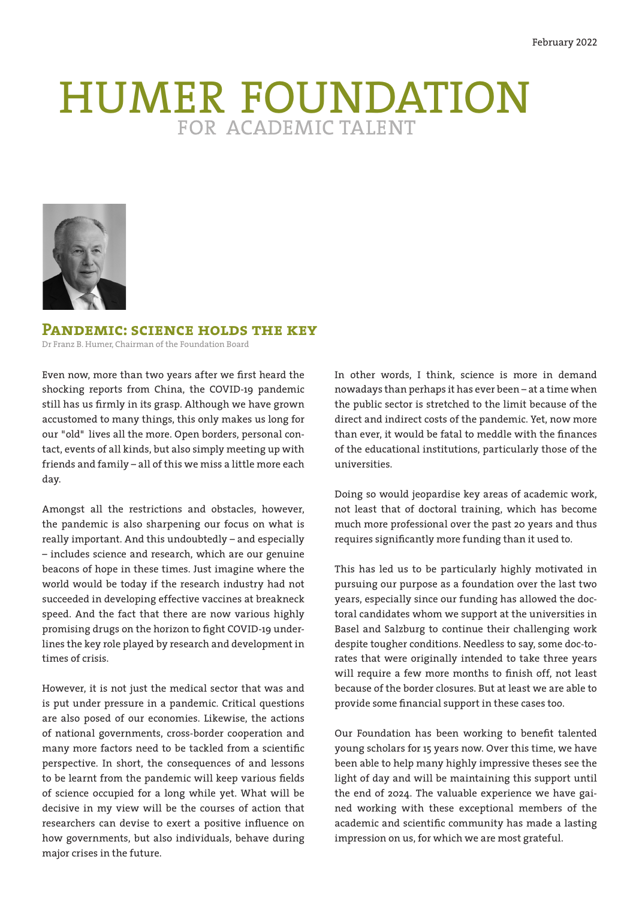# HUMER FOUNDATION



**Pandemic: science holds the key**

Dr Franz B. Humer, Chairman of the Foundation Board

Even now, more than two years after we first heard the shocking reports from China, the COVID-19 pandemic still has us firmly in its grasp. Although we have grown accustomed to many things, this only makes us long for our "old" lives all the more. Open borders, personal contact, events of all kinds, but also simply meeting up with friends and family – all of this we miss a little more each day.

Amongst all the restrictions and obstacles, however, the pandemic is also sharpening our focus on what is really important. And this undoubtedly – and especially – includes science and research, which are our genuine beacons of hope in these times. Just imagine where the world would be today if the research industry had not succeeded in developing effective vaccines at breakneck speed. And the fact that there are now various highly promising drugs on the horizon to fight COVID-19 underlines the key role played by research and development in times of crisis.

However, it is not just the medical sector that was and is put under pressure in a pandemic. Critical questions are also posed of our economies. Likewise, the actions of national governments, cross-border cooperation and many more factors need to be tackled from a scientific perspective. In short, the consequences of and lessons to be learnt from the pandemic will keep various fields of science occupied for a long while yet. What will be decisive in my view will be the courses of action that researchers can devise to exert a positive influence on how governments, but also individuals, behave during major crises in the future.

In other words, I think, science is more in demand nowadays than perhaps it has ever been – at a time when the public sector is stretched to the limit because of the direct and indirect costs of the pandemic. Yet, now more than ever, it would be fatal to meddle with the finances of the educational institutions, particularly those of the universities.

Doing so would jeopardise key areas of academic work, not least that of doctoral training, which has become much more professional over the past 20 years and thus requires significantly more funding than it used to.

This has led us to be particularly highly motivated in pursuing our purpose as a foundation over the last two years, especially since our funding has allowed the doctoral candidates whom we support at the universities in Basel and Salzburg to continue their challenging work despite tougher conditions. Needless to say, some doc-torates that were originally intended to take three years will require a few more months to finish off, not least because of the border closures. But at least we are able to provide some financial support in these cases too.

Our Foundation has been working to benefit talented young scholars for 15 years now. Over this time, we have been able to help many highly impressive theses see the light of day and will be maintaining this support until the end of 2024. The valuable experience we have gained working with these exceptional members of the academic and scientific community has made a lasting impression on us, for which we are most grateful.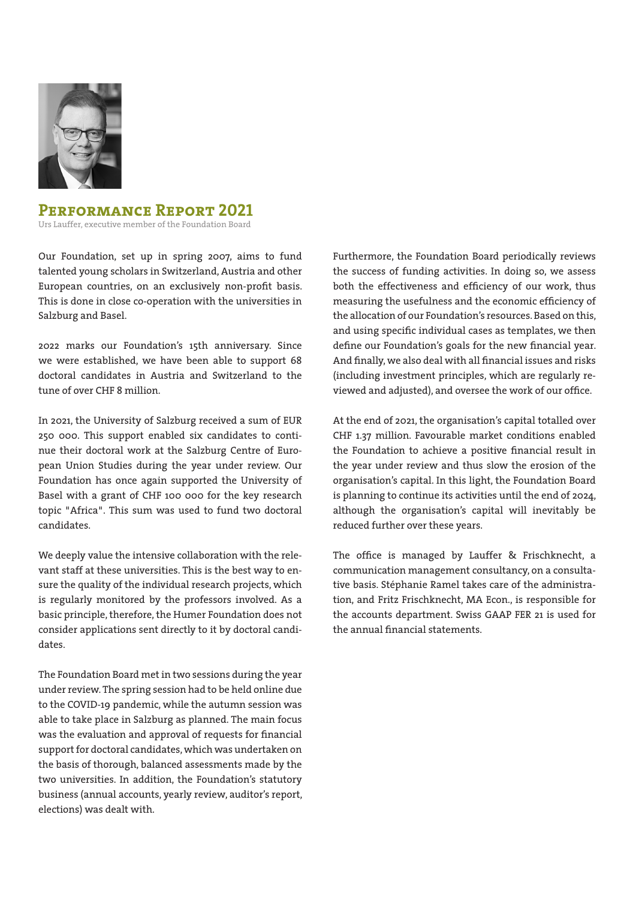

## **Performance Report 2021**

Urs Lauffer, executive member of the Foundation Board

Our Foundation, set up in spring 2007, aims to fund talented young scholars in Switzerland, Austria and other European countries, on an exclusively non-profit basis. This is done in close co-operation with the universities in Salzburg and Basel.

2022 marks our Foundation's 15th anniversary. Since we were established, we have been able to support 68 doctoral candidates in Austria and Switzerland to the tune of over CHF 8 million.

In 2021, the University of Salzburg received a sum of EUR 250 000. This support enabled six candidates to continue their doctoral work at the Salzburg Centre of European Union Studies during the year under review. Our Foundation has once again supported the University of Basel with a grant of CHF 100 000 for the key research topic "Africa". This sum was used to fund two doctoral candidates.

We deeply value the intensive collaboration with the relevant staff at these universities. This is the best way to ensure the quality of the individual research projects, which is regularly monitored by the professors involved. As a basic principle, therefore, the Humer Foundation does not consider applications sent directly to it by doctoral candidates.

The Foundation Board met in two sessions during the year under review. The spring session had to be held online due to the COVID-19 pandemic, while the autumn session was able to take place in Salzburg as planned. The main focus was the evaluation and approval of requests for financial support for doctoral candidates, which was undertaken on the basis of thorough, balanced assessments made by the two universities. In addition, the Foundation's statutory business (annual accounts, yearly review, auditor's report, elections) was dealt with.

Furthermore, the Foundation Board periodically reviews the success of funding activities. In doing so, we assess both the effectiveness and efficiency of our work, thus measuring the usefulness and the economic efficiency of the allocation of our Foundation's resources. Based on this, and using specific individual cases as templates, we then define our Foundation's goals for the new financial year. And finally, we also deal with all financial issues and risks (including investment principles, which are regularly reviewed and adjusted), and oversee the work of our office.

At the end of 2021, the organisation's capital totalled over CHF 1.37 million. Favourable market conditions enabled the Foundation to achieve a positive financial result in the year under review and thus slow the erosion of the organisation's capital. In this light, the Foundation Board is planning to continue its activities until the end of 2024, although the organisation's capital will inevitably be reduced further over these years.

The office is managed by Lauffer & Frischknecht, a communication management consultancy, on a consultative basis. Stéphanie Ramel takes care of the administration, and Fritz Frischknecht, MA Econ., is responsible for the accounts department. Swiss GAAP FER 21 is used for the annual financial statements.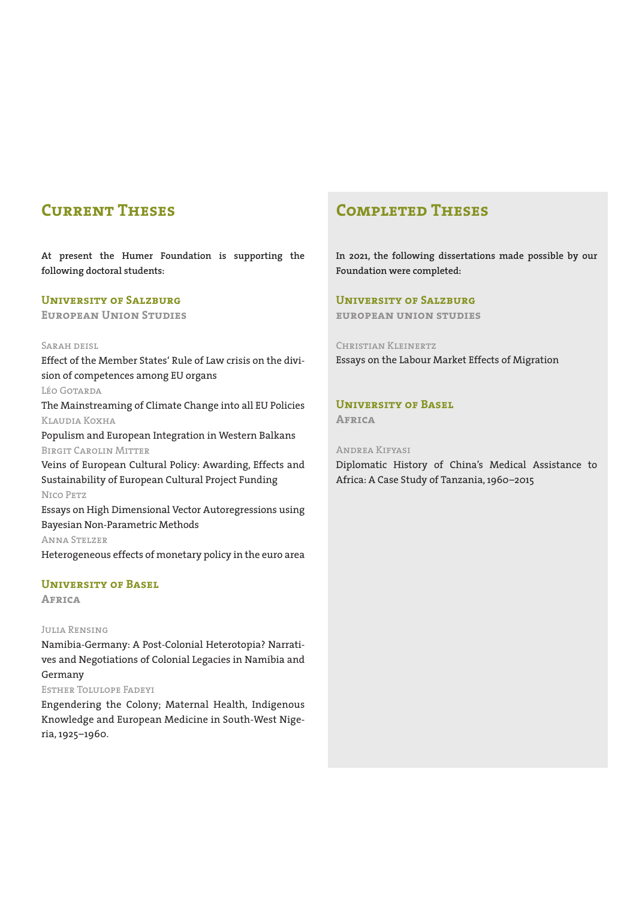# **Current Theses**

**At present the Humer Foundation is supporting the following doctoral students:**

#### **University of Salzburg**

**European Union Studies**

#### Sarah deisl

Effect of the Member States' Rule of Law crisis on the division of competences among EU organs

Léo Gotarda

The Mainstreaming of Climate Change into all EU Policies Klaudia Koxha

Populism and European Integration in Western Balkans Birgit Carolin Mitter

Veins of European Cultural Policy: Awarding, Effects and Sustainability of European Cultural Project Funding Nico Petz Essays on High Dimensional Vector Autoregressions using

Bayesian Non-Parametric Methods Anna Stelzer

Heterogeneous effects of monetary policy in the euro area

#### **University of Basel**

**Africa**

#### Julia Rensing

Namibia-Germany: A Post-Colonial Heterotopia? Narratives and Negotiations of Colonial Legacies in Namibia and Germany

#### Esther Tolulope Fadeyi

Engendering the Colony; Maternal Health, Indigenous Knowledge and European Medicine in South-West Nigeria, 1925–1960.

# **Completed Theses**

**In 2021, the following dissertations made possible by our Foundation were completed:**

#### **University of Salzburg**

**european union studies**

#### Christian Kleinertz

Essays on the Labour Market Effects of Migration

#### **University of Basel**

**Africa**

#### Andrea Kifyasi

Diplomatic History of China's Medical Assistance to Africa: A Case Study of Tanzania, 1960–2015